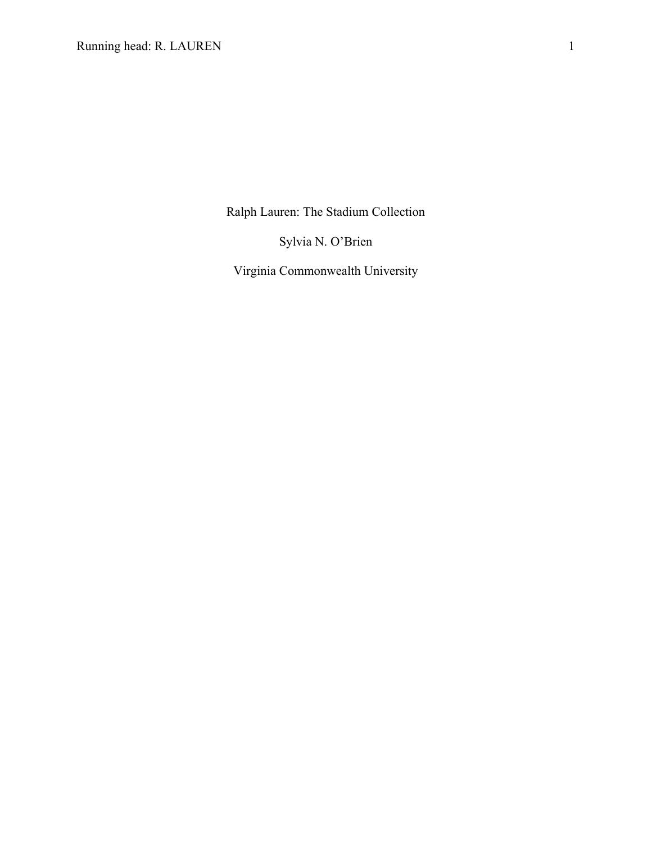Ralph Lauren: The Stadium Collection

Sylvia N. O'Brien

Virginia Commonwealth University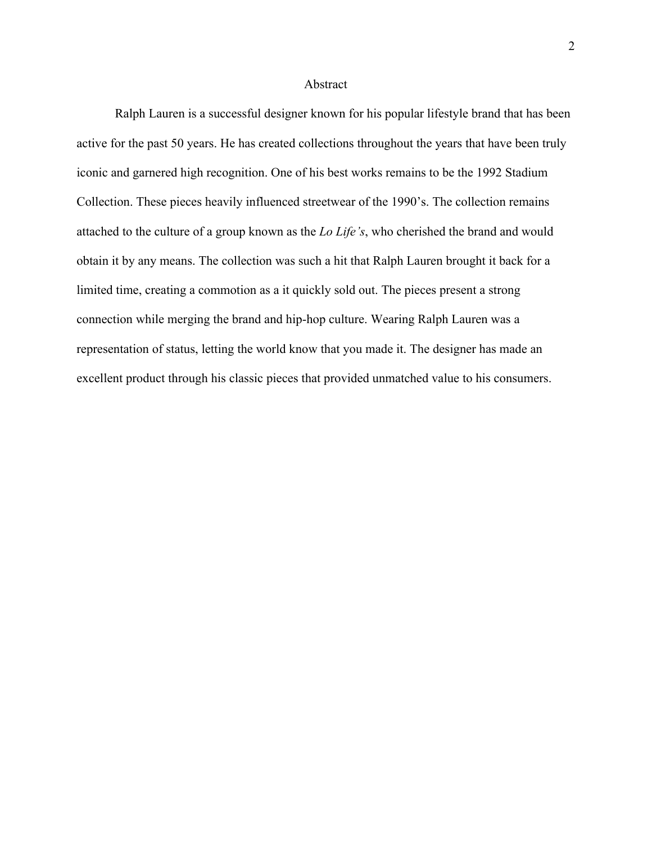## Abstract

Ralph Lauren is a successful designer known for his popular lifestyle brand that has been active for the past 50 years. He has created collections throughout the years that have been truly iconic and garnered high recognition. One of his best works remains to be the 1992 Stadium Collection. These pieces heavily influenced streetwear of the 1990's. The collection remains attached to the culture of a group known as the *Lo Life's*, who cherished the brand and would obtain it by any means. The collection was such a hit that Ralph Lauren brought it back for a limited time, creating a commotion as a it quickly sold out. The pieces present a strong connection while merging the brand and hip-hop culture. Wearing Ralph Lauren was a representation of status, letting the world know that you made it. The designer has made an excellent product through his classic pieces that provided unmatched value to his consumers.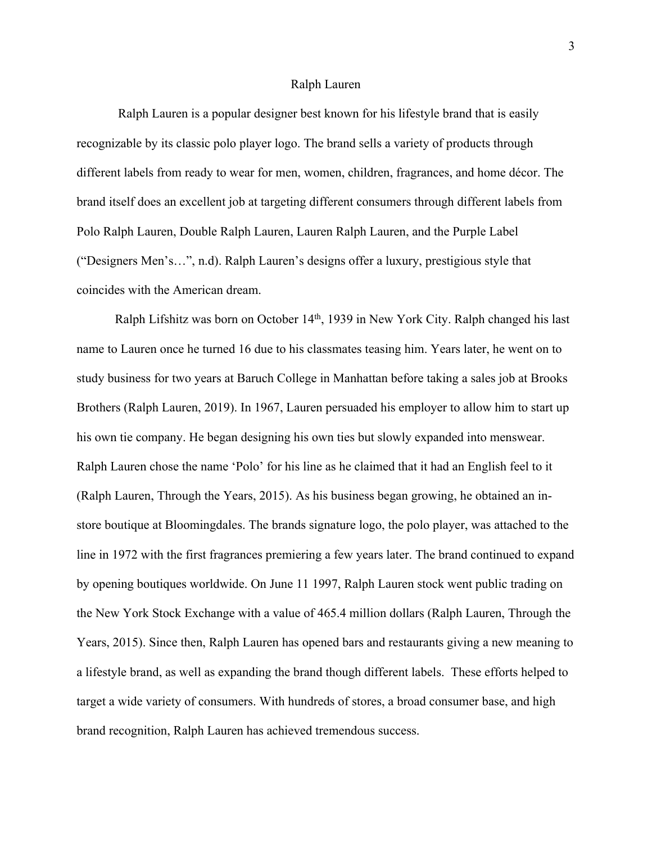## Ralph Lauren

Ralph Lauren is a popular designer best known for his lifestyle brand that is easily recognizable by its classic polo player logo. The brand sells a variety of products through different labels from ready to wear for men, women, children, fragrances, and home décor. The brand itself does an excellent job at targeting different consumers through different labels from Polo Ralph Lauren, Double Ralph Lauren, Lauren Ralph Lauren, and the Purple Label ("Designers Men's…", n.d). Ralph Lauren's designs offer a luxury, prestigious style that coincides with the American dream.

Ralph Lifshitz was born on October  $14<sup>th</sup>$ , 1939 in New York City. Ralph changed his last name to Lauren once he turned 16 due to his classmates teasing him. Years later, he went on to study business for two years at Baruch College in Manhattan before taking a sales job at Brooks Brothers (Ralph Lauren, 2019). In 1967, Lauren persuaded his employer to allow him to start up his own tie company. He began designing his own ties but slowly expanded into menswear. Ralph Lauren chose the name 'Polo' for his line as he claimed that it had an English feel to it (Ralph Lauren, Through the Years, 2015). As his business began growing, he obtained an instore boutique at Bloomingdales. The brands signature logo, the polo player, was attached to the line in 1972 with the first fragrances premiering a few years later. The brand continued to expand by opening boutiques worldwide. On June 11 1997, Ralph Lauren stock went public trading on the New York Stock Exchange with a value of 465.4 million dollars (Ralph Lauren, Through the Years, 2015). Since then, Ralph Lauren has opened bars and restaurants giving a new meaning to a lifestyle brand, as well as expanding the brand though different labels. These efforts helped to target a wide variety of consumers. With hundreds of stores, a broad consumer base, and high brand recognition, Ralph Lauren has achieved tremendous success.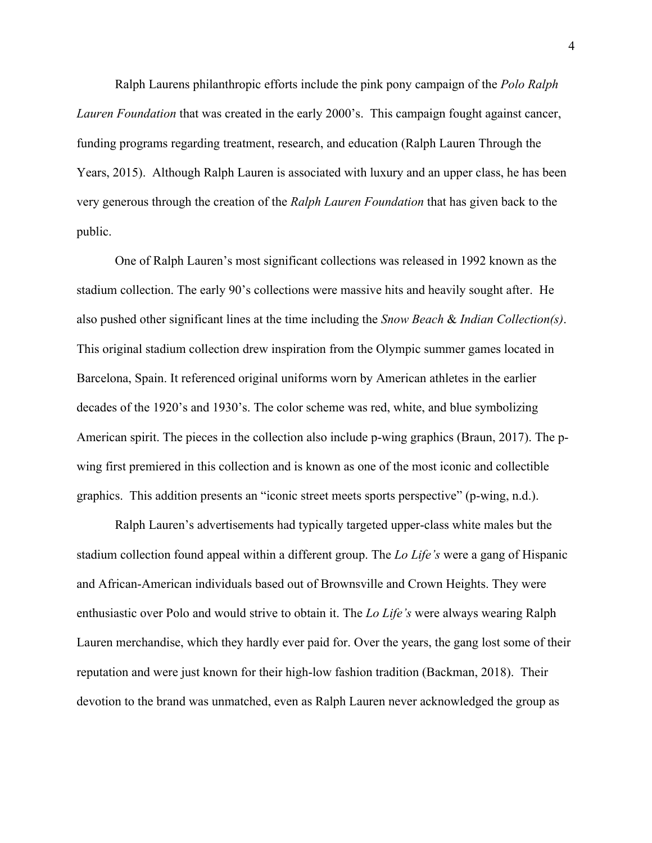Ralph Laurens philanthropic efforts include the pink pony campaign of the *Polo Ralph Lauren Foundation* that was created in the early 2000's. This campaign fought against cancer, funding programs regarding treatment, research, and education (Ralph Lauren Through the Years, 2015). Although Ralph Lauren is associated with luxury and an upper class, he has been very generous through the creation of the *Ralph Lauren Foundation* that has given back to the public.

One of Ralph Lauren's most significant collections was released in 1992 known as the stadium collection. The early 90's collections were massive hits and heavily sought after. He also pushed other significant lines at the time including the *Snow Beach* & *Indian Collection(s)*. This original stadium collection drew inspiration from the Olympic summer games located in Barcelona, Spain. It referenced original uniforms worn by American athletes in the earlier decades of the 1920's and 1930's. The color scheme was red, white, and blue symbolizing American spirit. The pieces in the collection also include p-wing graphics (Braun, 2017). The pwing first premiered in this collection and is known as one of the most iconic and collectible graphics. This addition presents an "iconic street meets sports perspective" (p-wing, n.d.).

Ralph Lauren's advertisements had typically targeted upper-class white males but the stadium collection found appeal within a different group. The *Lo Life's* were a gang of Hispanic and African-American individuals based out of Brownsville and Crown Heights. They were enthusiastic over Polo and would strive to obtain it. The *Lo Life's* were always wearing Ralph Lauren merchandise, which they hardly ever paid for. Over the years, the gang lost some of their reputation and were just known for their high-low fashion tradition (Backman, 2018). Their devotion to the brand was unmatched, even as Ralph Lauren never acknowledged the group as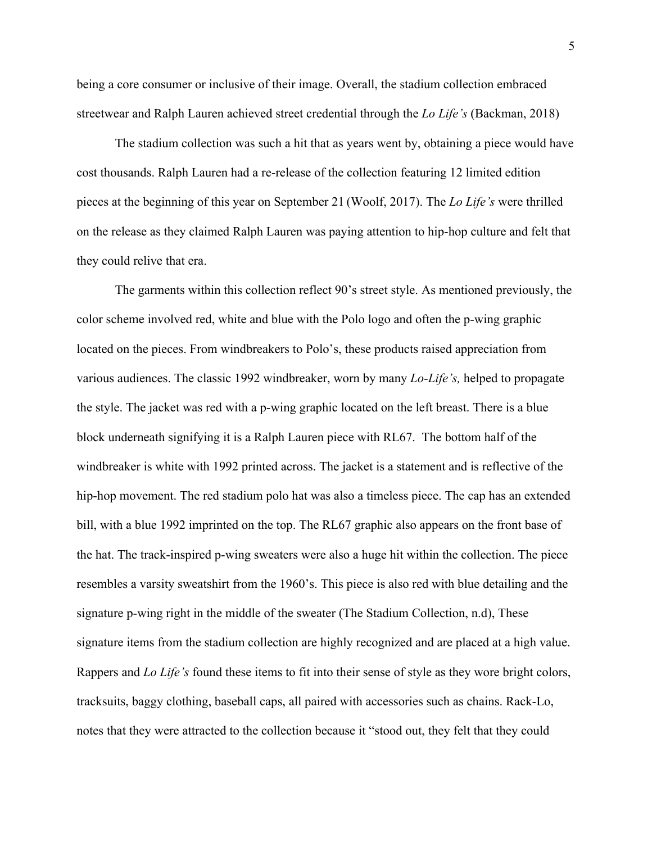being a core consumer or inclusive of their image. Overall, the stadium collection embraced streetwear and Ralph Lauren achieved street credential through the *Lo Life's* (Backman, 2018)

The stadium collection was such a hit that as years went by, obtaining a piece would have cost thousands. Ralph Lauren had a re-release of the collection featuring 12 limited edition pieces at the beginning of this year on September 21 (Woolf, 2017). The *Lo Life's* were thrilled on the release as they claimed Ralph Lauren was paying attention to hip-hop culture and felt that they could relive that era.

The garments within this collection reflect 90's street style. As mentioned previously, the color scheme involved red, white and blue with the Polo logo and often the p-wing graphic located on the pieces. From windbreakers to Polo's, these products raised appreciation from various audiences. The classic 1992 windbreaker, worn by many *Lo-Life's,* helped to propagate the style. The jacket was red with a p-wing graphic located on the left breast. There is a blue block underneath signifying it is a Ralph Lauren piece with RL67. The bottom half of the windbreaker is white with 1992 printed across. The jacket is a statement and is reflective of the hip-hop movement. The red stadium polo hat was also a timeless piece. The cap has an extended bill, with a blue 1992 imprinted on the top. The RL67 graphic also appears on the front base of the hat. The track-inspired p-wing sweaters were also a huge hit within the collection. The piece resembles a varsity sweatshirt from the 1960's. This piece is also red with blue detailing and the signature p-wing right in the middle of the sweater (The Stadium Collection, n.d), These signature items from the stadium collection are highly recognized and are placed at a high value. Rappers and *Lo Life's* found these items to fit into their sense of style as they wore bright colors, tracksuits, baggy clothing, baseball caps, all paired with accessories such as chains. Rack-Lo, notes that they were attracted to the collection because it "stood out, they felt that they could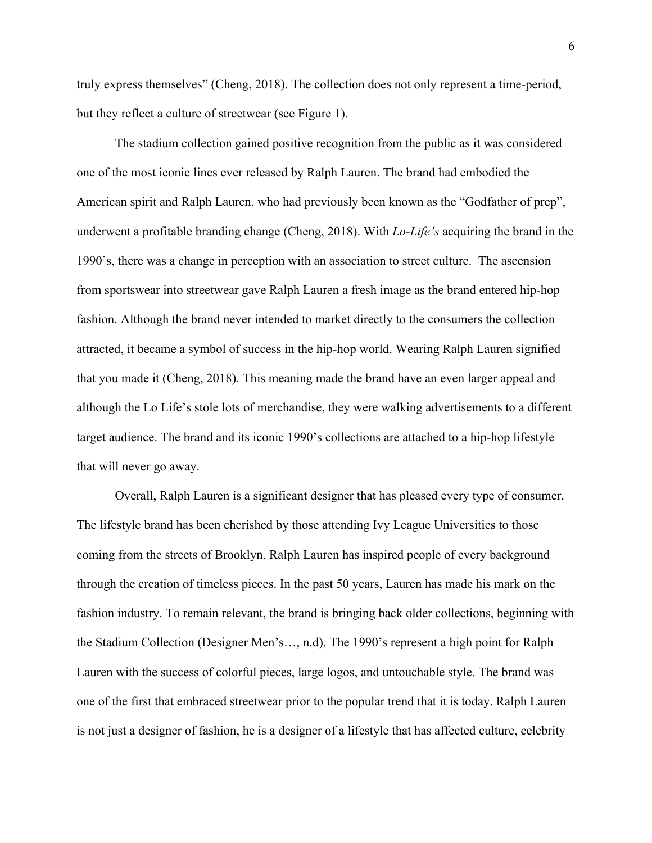truly express themselves" (Cheng, 2018). The collection does not only represent a time-period, but they reflect a culture of streetwear (see Figure 1).

The stadium collection gained positive recognition from the public as it was considered one of the most iconic lines ever released by Ralph Lauren. The brand had embodied the American spirit and Ralph Lauren, who had previously been known as the "Godfather of prep", underwent a profitable branding change (Cheng, 2018). With *Lo-Life's* acquiring the brand in the 1990's, there was a change in perception with an association to street culture. The ascension from sportswear into streetwear gave Ralph Lauren a fresh image as the brand entered hip-hop fashion. Although the brand never intended to market directly to the consumers the collection attracted, it became a symbol of success in the hip-hop world. Wearing Ralph Lauren signified that you made it (Cheng, 2018). This meaning made the brand have an even larger appeal and although the Lo Life's stole lots of merchandise, they were walking advertisements to a different target audience. The brand and its iconic 1990's collections are attached to a hip-hop lifestyle that will never go away.

Overall, Ralph Lauren is a significant designer that has pleased every type of consumer. The lifestyle brand has been cherished by those attending Ivy League Universities to those coming from the streets of Brooklyn. Ralph Lauren has inspired people of every background through the creation of timeless pieces. In the past 50 years, Lauren has made his mark on the fashion industry. To remain relevant, the brand is bringing back older collections, beginning with the Stadium Collection (Designer Men's…, n.d). The 1990's represent a high point for Ralph Lauren with the success of colorful pieces, large logos, and untouchable style. The brand was one of the first that embraced streetwear prior to the popular trend that it is today. Ralph Lauren is not just a designer of fashion, he is a designer of a lifestyle that has affected culture, celebrity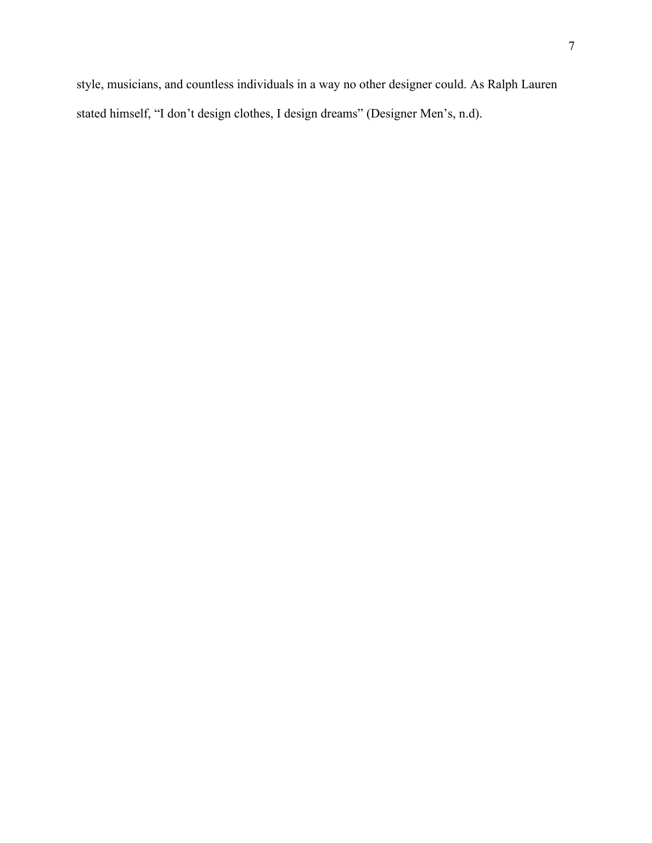style, musicians, and countless individuals in a way no other designer could. As Ralph Lauren stated himself, "I don't design clothes, I design dreams" (Designer Men's, n.d).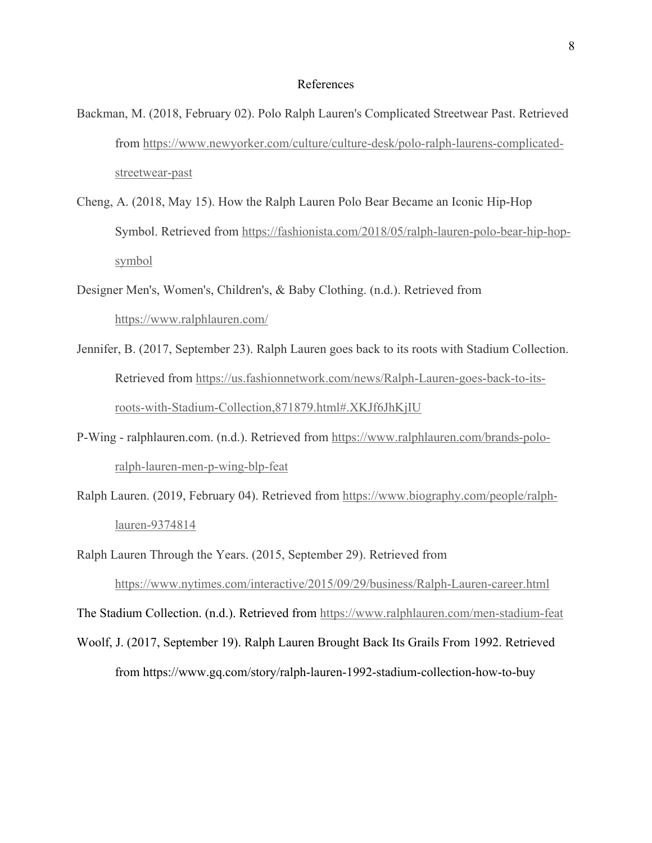## References

- Backman, M. (2018, February 02). Polo Ralph Lauren's Complicated Streetwear Past. Retrieved from https://www.newyorker.com/culture/culture-desk/polo-ralph-laurens-complicatedstreetwear-past
- Cheng, A. (2018, May 15). How the Ralph Lauren Polo Bear Became an Iconic Hip-Hop Symbol. Retrieved from https://fashionista.com/2018/05/ralph-lauren-polo-bear-hip-hopsymbol
- Designer Men's, Women's, Children's, & Baby Clothing. (n.d.). Retrieved from https://www.ralphlauren.com/
- Jennifer, B. (2017, September 23). Ralph Lauren goes back to its roots with Stadium Collection. Retrieved from https://us.fashionnetwork.com/news/Ralph-Lauren-goes-back-to-itsroots-with-Stadium-Collection,871879.html#.XKJf6JhKjIU
- P-Wing ralphlauren.com. (n.d.). Retrieved from https://www.ralphlauren.com/brands-poloralph-lauren-men-p-wing-blp-feat
- Ralph Lauren. (2019, February 04). Retrieved from https://www.biography.com/people/ralphlauren-9374814
- Ralph Lauren Through the Years. (2015, September 29). Retrieved from

https://www.nytimes.com/interactive/2015/09/29/business/Ralph-Lauren-career.html

The Stadium Collection. (n.d.). Retrieved from https://www.ralphlauren.com/men-stadium-feat

Woolf, J. (2017, September 19). Ralph Lauren Brought Back Its Grails From 1992. Retrieved from https://www.gq.com/story/ralph-lauren-1992-stadium-collection-how-to-buy